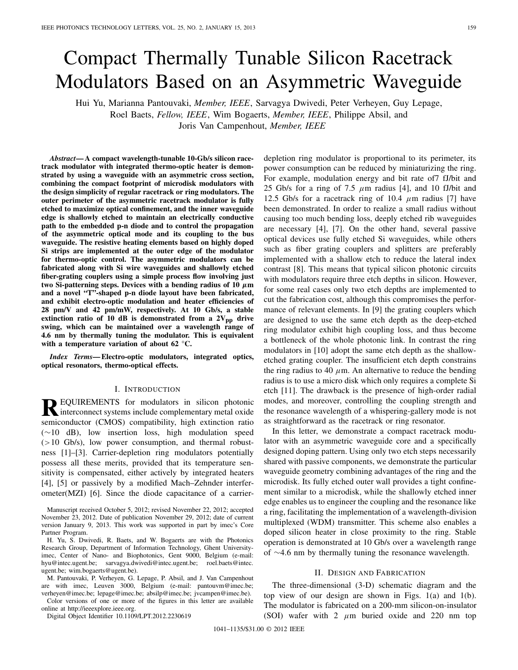# Compact Thermally Tunable Silicon Racetrack Modulators Based on an Asymmetric Waveguide

Hui Yu, Marianna Pantouvaki, *Member, IEEE*, Sarvagya Dwivedi, Peter Verheyen, Guy Lepage, Roel Baets, *Fellow, IEEE*, Wim Bogaerts, *Member, IEEE*, Philippe Absil, and Joris Van Campenhout, *Member, IEEE*

*Abstract***— A compact wavelength-tunable 10-Gb/s silicon racetrack modulator with integrated thermo-optic heater is demonstrated by using a waveguide with an asymmetric cross section, combining the compact footprint of microdisk modulators with the design simplicity of regular racetrack or ring modulators. The outer perimeter of the asymmetric racetrack modulator is fully etched to maximize optical confinement, and the inner waveguide edge is shallowly etched to maintain an electrically conductive path to the embedded p-n diode and to control the propagation of the asymmetric optical mode and its coupling to the bus waveguide. The resistive heating elements based on highly doped Si strips are implemented at the outer edge of the modulator for thermo-optic control. The asymmetric modulators can be fabricated along with Si wire waveguides and shallowly etched fiber-grating couplers using a simple process flow involving just** two Si-patterning steps. Devices with a bending radius of 10  $\mu$ m **and a novel "T"-shaped p-n diode layout have been fabricated, and exhibit electro-optic modulation and heater efficiencies of 28 pm/V and 42 pm/mW, respectively. At 10 Gb/s, a stable** extinction ratio of 10 dB is demonstrated from a  $2V_{pp}$  drive **swing, which can be maintained over a wavelength range of 4.6 nm by thermally tuning the modulator. This is equivalent with a temperature variation of about 62 °C.**

*Index Terms***— Electro-optic modulators, integrated optics, optical resonators, thermo-optical effects.**

## I. INTRODUCTION

**REQUIREMENTS** for modulators in silicon photonic<br>interconnect systems include complementary metal oxide<br>intervals of the complementary metal oxide semiconductor (CMOS) compatibility, high extinction ratio (∼10 dB), low insertion loss, high modulation speed (>10 Gb/s), low power consumption, and thermal robustness [1]–[3]. Carrier-depletion ring modulators potentially possess all these merits, provided that its temperature sensitivity is compensated, either actively by integrated heaters [4], [5] or passively by a modified Mach–Zehnder interferometer(MZI) [6]. Since the diode capacitance of a carrier-

Manuscript received October 5, 2012; revised November 22, 2012; accepted November 23, 2012. Date of publication November 29, 2012; date of current version January 9, 2013. This work was supported in part by imec's Core Partner Program.

H. Yu, S. Dwivedi, R. Baets, and W. Bogaerts are with the Photonics Research Group, Department of Information Technology, Ghent Universityimec, Center of Nano- and Biophotonics, Gent 9000, Belgium (e-mail: hyu@intec.ugent.be; sarvagya.dwivedi@intec.ugent.be; roel.baets@intec. ugent.be; wim.bogaerts@ugent.be).

M. Pantouvaki, P. Verheyen, G. Lepage, P. Absil, and J. Van Campenhout are with imec, Leuven 3000, Belgium (e-mail: pantouvm@imec.be; verheyen@imec.be; lepage@imec.be; absilp@imec.be; jvcampen@imec.be).

Color versions of one or more of the figures in this letter are available online at http://ieeexplore.ieee.org.

Digital Object Identifier 10.1109/LPT.2012.2230619

depletion ring modulator is proportional to its perimeter, its power consumption can be reduced by miniaturizing the ring. For example, modulation energy and bit rate of7 fJ/bit and 25 Gb/s for a ring of 7.5  $\mu$ m radius [4], and 10 fJ/bit and 12.5 Gb/s for a racetrack ring of 10.4  $\mu$ m radius [7] have been demonstrated. In order to realize a small radius without causing too much bending loss, deeply etched rib waveguides are necessary [4], [7]. On the other hand, several passive optical devices use fully etched Si waveguides, while others such as fiber grating couplers and splitters are preferably implemented with a shallow etch to reduce the lateral index contrast [8]. This means that typical silicon photonic circuits with modulators require three etch depths in silicon. However, for some real cases only two etch depths are implemented to cut the fabrication cost, although this compromises the performance of relevant elements. In [9] the grating couplers which are designed to use the same etch depth as the deep-etched ring modulator exhibit high coupling loss, and thus become a bottleneck of the whole photonic link. In contrast the ring modulators in [10] adopt the same etch depth as the shallowetched grating coupler. The insufficient etch depth constrains the ring radius to 40  $\mu$ m. An alternative to reduce the bending radius is to use a micro disk which only requires a complete Si etch [11]. The drawback is the presence of high-order radial modes, and moreover, controlling the coupling strength and the resonance wavelength of a whispering-gallery mode is not as straightforward as the racetrack or ring resonator.

In this letter, we demonstrate a compact racetrack modulator with an asymmetric waveguide core and a specifically designed doping pattern. Using only two etch steps necessarily shared with passive components, we demonstrate the particular waveguide geometry combining advantages of the ring and the microdisk. Its fully etched outer wall provides a tight confinement similar to a microdisk, while the shallowly etched inner edge enables us to engineer the coupling and the resonance like a ring, facilitating the implementation of a wavelength-division multiplexed (WDM) transmitter. This scheme also enables a doped silicon heater in close proximity to the ring. Stable operation is demonstrated at 10 Gb/s over a wavelength range of ∼4.6 nm by thermally tuning the resonance wavelength.

## II. DESIGN AND FABRICATION

The three-dimensional (3-D) schematic diagram and the top view of our design are shown in Figs. 1(a) and 1(b). The modulator is fabricated on a 200-mm silicon-on-insulator (SOI) wafer with 2  $\mu$ m buried oxide and 220 nm top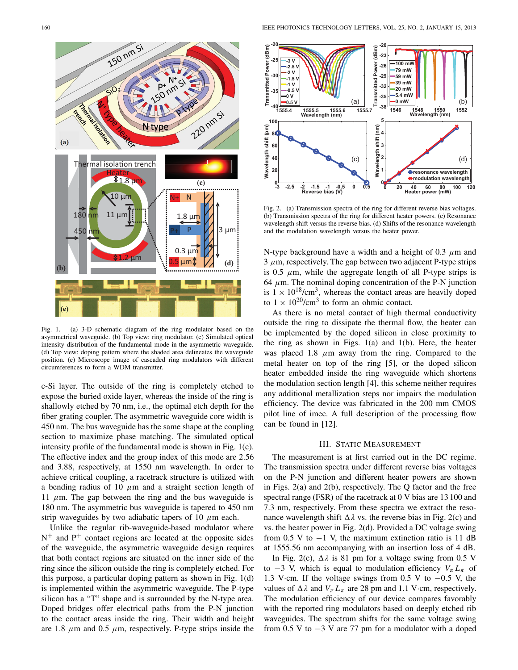

Fig. 1. (a) 3-D schematic diagram of the ring modulator based on the asymmetrical waveguide. (b) Top view: ring modulator. (c) Simulated optical intensity distribution of the fundamental mode in the asymmetric waveguide. (d) Top view: doping pattern where the shaded area delineates the waveguide position. (e) Microscope image of cascaded ring modulators with different circumferences to form a WDM transmitter.

c-Si layer. The outside of the ring is completely etched to expose the buried oxide layer, whereas the inside of the ring is shallowly etched by 70 nm, i.e., the optimal etch depth for the fiber grating coupler. The asymmetric waveguide core width is 450 nm. The bus waveguide has the same shape at the coupling section to maximize phase matching. The simulated optical intensity profile of the fundamental mode is shown in Fig. 1(c). The effective index and the group index of this mode are 2.56 and 3.88, respectively, at 1550 nm wavelength. In order to achieve critical coupling, a racetrack structure is utilized with a bending radius of 10  $\mu$ m and a straight section length of 11  $\mu$ m. The gap between the ring and the bus waveguide is 180 nm. The asymmetric bus waveguide is tapered to 450 nm strip waveguides by two adiabatic tapers of 10  $\mu$ m each.

Unlike the regular rib-waveguide-based modulator where  $N^+$  and  $P^+$  contact regions are located at the opposite sides of the waveguide, the asymmetric waveguide design requires that both contact regions are situated on the inner side of the ring since the silicon outside the ring is completely etched. For this purpose, a particular doping pattern as shown in Fig. 1(d) is implemented within the asymmetric waveguide. The P-type silicon has a "T" shape and is surrounded by the N-type area. Doped bridges offer electrical paths from the P-N junction to the contact areas inside the ring. Their width and height are 1.8  $\mu$ m and 0.5  $\mu$ m, respectively. P-type strips inside the



Fig. 2. (a) Transmission spectra of the ring for different reverse bias voltages. (b) Transmission spectra of the ring for different heater powers. (c) Resonance wavelength shift versus the reverse bias. (d) Shifts of the resonance wavelength and the modulation wavelength versus the heater power.

N-type background have a width and a height of 0.3  $\mu$ m and  $3 \mu$ m, respectively. The gap between two adjacent P-type strips is 0.5  $\mu$ m, while the aggregate length of all P-type strips is 64  $\mu$ m. The nominal doping concentration of the P-N junction is  $1 \times 10^{18}$ /cm<sup>3</sup>, whereas the contact areas are heavily doped to  $1 \times 10^{20}$ /cm<sup>3</sup> to form an ohmic contact.

As there is no metal contact of high thermal conductivity outside the ring to dissipate the thermal flow, the heater can be implemented by the doped silicon in close proximity to the ring as shown in Figs. 1(a) and 1(b). Here, the heater was placed 1.8  $\mu$ m away from the ring. Compared to the metal heater on top of the ring [5], or the doped silicon heater embedded inside the ring waveguide which shortens the modulation section length [4], this scheme neither requires any additional metallization steps nor impairs the modulation efficiency. The device was fabricated in the 200 mm CMOS pilot line of imec. A full description of the processing flow can be found in [12].

# III. STATIC MEASUREMENT

The measurement is at first carried out in the DC regime. The transmission spectra under different reverse bias voltages on the P-N junction and different heater powers are shown in Figs. 2(a) and 2(b), respectively. The Q factor and the free spectral range (FSR) of the racetrack at 0 V bias are 13 100 and 7.3 nm, respectively. From these spectra we extract the resonance wavelength shift  $\Delta \lambda$  vs. the reverse bias in Fig. 2(c) and vs. the heater power in Fig. 2(d). Provided a DC voltage swing from 0.5 V to  $-1$  V, the maximum extinction ratio is 11 dB at 1555.56 nm accompanying with an insertion loss of 4 dB.

In Fig. 2(c),  $\Delta \lambda$  is 81 pm for a voltage swing from 0.5 V to  $-3$  V, which is equal to modulation efficiency  $V_{\pi} L_{\pi}$  of 1.3 V·cm. If the voltage swings from 0.5 V to −0.5 V, the values of  $\Delta \lambda$  and  $V_{\pi} L_{\pi}$  are 28 pm and 1.1 V·cm, respectively. The modulation efficiency of our device compares favorably with the reported ring modulators based on deeply etched rib waveguides. The spectrum shifts for the same voltage swing from 0.5 V to  $-3$  V are 77 pm for a modulator with a doped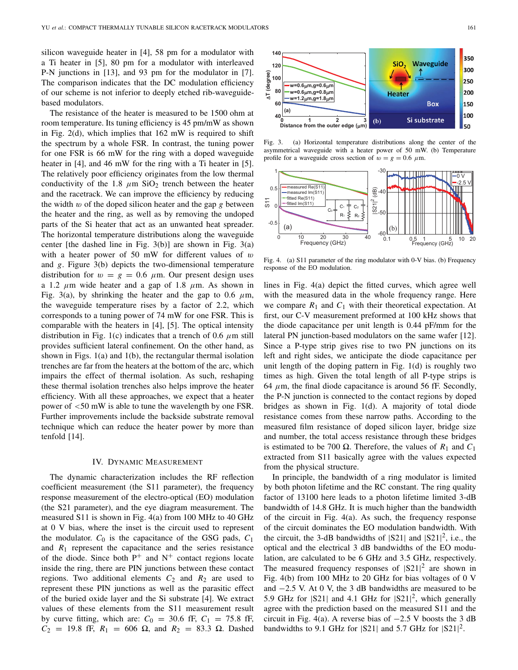silicon waveguide heater in [4], 58 pm for a modulator with a Ti heater in [5], 80 pm for a modulator with interleaved P-N junctions in [13], and 93 pm for the modulator in [7]. The comparison indicates that the DC modulation efficiency of our scheme is not inferior to deeply etched rib-waveguidebased modulators.

The resistance of the heater is measured to be 1500 ohm at room temperature. Its tuning efficiency is 45 pm/mW as shown in Fig. 2(d), which implies that 162 mW is required to shift the spectrum by a whole FSR. In contrast, the tuning power for one FSR is 66 mW for the ring with a doped waveguide heater in [4], and 46 mW for the ring with a Ti heater in [5]. The relatively poor efficiency originates from the low thermal conductivity of the 1.8  $\mu$ m SiO<sub>2</sub> trench between the heater and the racetrack. We can improve the efficiency by reducing the width  $w$  of the doped silicon heater and the gap  $g$  between the heater and the ring, as well as by removing the undoped parts of the Si heater that act as an unwanted heat spreader. The horizontal temperature distributions along the waveguide center [the dashed line in Fig.  $3(b)$ ] are shown in Fig.  $3(a)$ with a heater power of 50 mW for different values of  $w$ and *g*. Figure 3(b) depicts the two-dimensional temperature distribution for  $w = g = 0.6 \mu$ m. Our present design uses a 1.2  $\mu$ m wide heater and a gap of 1.8  $\mu$ m. As shown in Fig. 3(a), by shrinking the heater and the gap to 0.6  $\mu$ m, the waveguide temperature rises by a factor of 2.2, which corresponds to a tuning power of 74 mW for one FSR. This is comparable with the heaters in [4], [5]. The optical intensity distribution in Fig. 1(c) indicates that a trench of 0.6  $\mu$ m still provides sufficient lateral confinement. On the other hand, as shown in Figs. 1(a) and 1(b), the rectangular thermal isolation trenches are far from the heaters at the bottom of the arc, which impairs the effect of thermal isolation. As such, reshaping these thermal isolation trenches also helps improve the heater efficiency. With all these approaches, we expect that a heater power of <50 mW is able to tune the wavelength by one FSR. Further improvements include the backside substrate removal technique which can reduce the heater power by more than tenfold [14].

### IV. DYNAMIC MEASUREMENT

The dynamic characterization includes the RF reflection coefficient measurement (the S11 parameter), the frequency response measurement of the electro-optical (EO) modulation (the S21 parameter), and the eye diagram measurement. The measured S11 is shown in Fig. 4(a) from 100 MHz to 40 GHz at 0 V bias, where the inset is the circuit used to represent the modulator.  $C_0$  is the capacitance of the GSG pads,  $C_1$ and  $R_1$  represent the capacitance and the series resistance of the diode. Since both  $P^+$  and  $N^+$  contact regions locate inside the ring, there are PIN junctions between these contact regions. Two additional elements  $C_2$  and  $R_2$  are used to represent these PIN junctions as well as the parasitic effect of the buried oxide layer and the Si substrate [4]. We extract values of these elements from the S11 measurement result by curve fitting, which are:  $C_0 = 30.6$  fF,  $C_1 = 75.8$  fF,  $C_2 = 19.8$  fF,  $R_1 = 606 \Omega$ , and  $R_2 = 83.3 \Omega$ . Dashed



Fig. 3. (a) Horizontal temperature distributions along the center of the asymmetrical waveguide with a heater power of 50 mW. (b) Temperature profile for a waveguide cross section of  $w = g = 0.6 \mu$ m.



Fig. 4. (a) S11 parameter of the ring modulator with 0-V bias. (b) Frequency response of the EO modulation.

lines in Fig. 4(a) depict the fitted curves, which agree well with the measured data in the whole frequency range. Here we compare  $R_1$  and  $C_1$  with their theoretical expectation. At first, our C-V measurement preformed at 100 kHz shows that the diode capacitance per unit length is 0.44 pF/mm for the lateral PN junction-based modulators on the same wafer [12]. Since a P-type strip gives rise to two PN junctions on its left and right sides, we anticipate the diode capacitance per unit length of the doping pattern in Fig. 1(d) is roughly two times as high. Given the total length of all P-type strips is 64  $\mu$ m, the final diode capacitance is around 56 fF. Secondly, the P-N junction is connected to the contact regions by doped bridges as shown in Fig. 1(d). A majority of total diode resistance comes from these narrow paths. According to the measured film resistance of doped silicon layer, bridge size and number, the total access resistance through these bridges is estimated to be 700  $\Omega$ . Therefore, the values of  $R_1$  and  $C_1$ extracted from S11 basically agree with the values expected from the physical structure.

In principle, the bandwidth of a ring modulator is limited by both photon lifetime and the RC constant. The ring quality factor of 13100 here leads to a photon lifetime limited 3-dB bandwidth of 14.8 GHz. It is much higher than the bandwidth of the circuit in Fig. 4(a). As such, the frequency response of the circuit dominates the EO modulation bandwidth. With the circuit, the 3-dB bandwidths of  $|S21|$  and  $|S21|^2$ , i.e., the optical and the electrical 3 dB bandwidths of the EO modulation, are calculated to be 6 GHz and 3.5 GHz, respectively. The measured frequency responses of  $|S21|^2$  are shown in Fig. 4(b) from 100 MHz to 20 GHz for bias voltages of 0 V and −2.5 V. At 0 V, the 3 dB bandwidths are measured to be 5.9 GHz for  $|S21|$  and 4.1 GHz for  $|S21|^2$ , which generally agree with the prediction based on the measured S11 and the circuit in Fig. 4(a). A reverse bias of  $-2.5$  V boosts the 3 dB bandwidths to 9.1 GHz for  $|S21|$  and 5.7 GHz for  $|S21|^2$ .